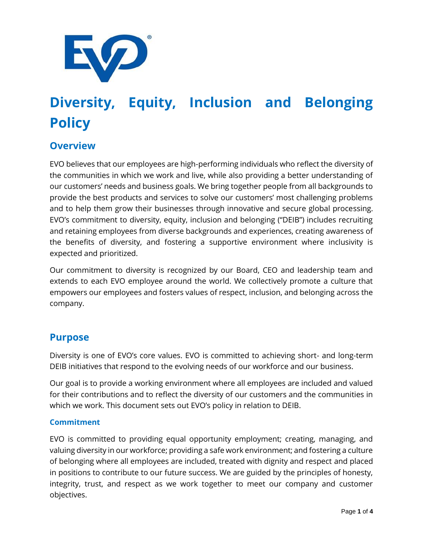

# **Diversity, Equity, Inclusion and Belonging Policy**

# **Overview**

EVO believes that our employees are high-performing individuals who reflect the diversity of the communities in which we work and live, while also providing a better understanding of our customers' needs and business goals. We bring together people from all backgrounds to provide the best products and services to solve our customers' most challenging problems and to help them grow their businesses through innovative and secure global processing. EVO's commitment to diversity, equity, inclusion and belonging ("DEIB") includes recruiting and retaining employees from diverse backgrounds and experiences, creating awareness of the benefits of diversity, and fostering a supportive environment where inclusivity is expected and prioritized.

Our commitment to diversity is recognized by our Board, CEO and leadership team and extends to each EVO employee around the world. We collectively promote a culture that empowers our employees and fosters values of respect, inclusion, and belonging across the company.

# **Purpose**

Diversity is one of EVO's core values. EVO is committed to achieving short- and long-term DEIB initiatives that respond to the evolving needs of our workforce and our business.

Our goal is to provide a working environment where all employees are included and valued for their contributions and to reflect the diversity of our customers and the communities in which we work. This document sets out EVO's policy in relation to DEIB.

## **Commitment**

EVO is committed to providing equal opportunity employment; creating, managing, and valuing diversity in our workforce; providing a safe work environment; and fostering a culture of belonging where all employees are included, treated with dignity and respect and placed in positions to contribute to our future success. We are guided by the principles of honesty, integrity, trust, and respect as we work together to meet our company and customer objectives.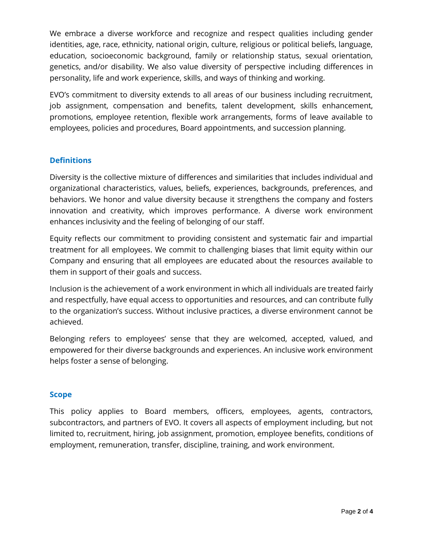We embrace a diverse workforce and recognize and respect qualities including gender identities, age, race, ethnicity, national origin, culture, religious or political beliefs, language, education, socioeconomic background, family or relationship status, sexual orientation, genetics, and/or disability. We also value diversity of perspective including differences in personality, life and work experience, skills, and ways of thinking and working.

EVO's commitment to diversity extends to all areas of our business including recruitment, job assignment, compensation and benefits, talent development, skills enhancement, promotions, employee retention, flexible work arrangements, forms of leave available to employees, policies and procedures, Board appointments, and succession planning.

# **Definitions**

Diversity is the collective mixture of differences and similarities that includes individual and organizational characteristics, values, beliefs, experiences, backgrounds, preferences, and behaviors. We honor and value diversity because it strengthens the company and fosters innovation and creativity, which improves performance. A diverse work environment enhances inclusivity and the feeling of belonging of our staff.

Equity reflects our commitment to providing consistent and systematic fair and impartial treatment for all employees. We commit to challenging biases that limit equity within our Company and ensuring that all employees are educated about the resources available to them in support of their goals and success.

Inclusion is the achievement of a work environment in which all individuals are treated fairly and respectfully, have equal access to opportunities and resources, and can contribute fully to the organization's success. Without inclusive practices, a diverse environment cannot be achieved.

Belonging refers to employees' sense that they are welcomed, accepted, valued, and empowered for their diverse backgrounds and experiences. An inclusive work environment helps foster a sense of belonging.

## **Scope**

This policy applies to Board members, officers, employees, agents, contractors, subcontractors, and partners of EVO. It covers all aspects of employment including, but not limited to, recruitment, hiring, job assignment, promotion, employee benefits, conditions of employment, remuneration, transfer, discipline, training, and work environment.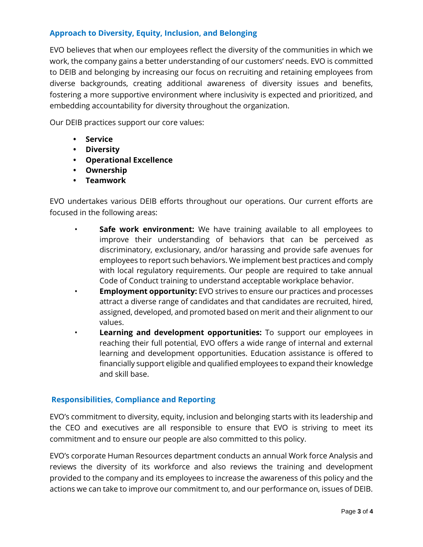# **Approach to Diversity, Equity, Inclusion, and Belonging**

EVO believes that when our employees reflect the diversity of the communities in which we work, the company gains a better understanding of our customers' needs. EVO is committed to DEIB and belonging by increasing our focus on recruiting and retaining employees from diverse backgrounds, creating additional awareness of diversity issues and benefits, fostering a more supportive environment where inclusivity is expected and prioritized, and embedding accountability for diversity throughout the organization.

Our DEIB practices support our core values:

- **• Service**
- **• Diversity**
- **• Operational Excellence**
- **• Ownership**
- **• Teamwork**

EVO undertakes various DEIB efforts throughout our operations. Our current efforts are focused in the following areas:

- **Safe work environment:** We have training available to all employees to improve their understanding of behaviors that can be perceived as discriminatory, exclusionary, and/or harassing and provide safe avenues for employees to report such behaviors. We implement best practices and comply with local regulatory requirements. Our people are required to take annual Code of Conduct training to understand acceptable workplace behavior.
- **Employment opportunity:** EVO strives to ensure our practices and processes attract a diverse range of candidates and that candidates are recruited, hired, assigned, developed, and promoted based on merit and their alignment to our values.
- **Learning and development opportunities:** To support our employees in reaching their full potential, EVO offers a wide range of internal and external learning and development opportunities. Education assistance is offered to financially support eligible and qualified employees to expand their knowledge and skill base.

## **Responsibilities, Compliance and Reporting**

EVO's commitment to diversity, equity, inclusion and belonging starts with its leadership and the CEO and executives are all responsible to ensure that EVO is striving to meet its commitment and to ensure our people are also committed to this policy.

EVO's corporate Human Resources department conducts an annual Work force Analysis and reviews the diversity of its workforce and also reviews the training and development provided to the company and its employees to increase the awareness of this policy and the actions we can take to improve our commitment to, and our performance on, issues of DEIB.